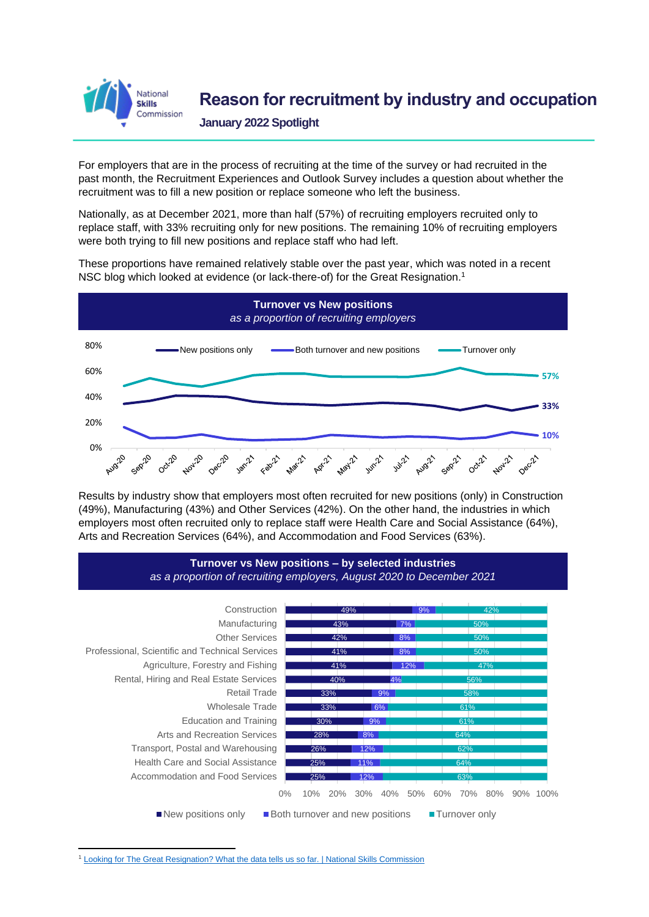

## **Reason for recruitment by industry and occupation**

**January 2022 Spotlight**

For employers that are in the process of recruiting at the time of the survey or had recruited in the past month, the Recruitment Experiences and Outlook Survey includes a question about whether the recruitment was to fill a new position or replace someone who left the business.

Nationally, as at December 2021, more than half (57%) of recruiting employers recruited only to replace staff, with 33% recruiting only for new positions. The remaining 10% of recruiting employers were both trying to fill new positions and replace staff who had left.

These proportions have remained relatively stable over the past year, which was noted in a recent NSC [blog which looked at evidence \(or lack-there-of\) for](https://www.nationalskillscommission.gov.au/news/news-centre/looking-great-resignation-what-data-tells-us-so-far) the Great Resignation. 1



Results by industry show that employers most often recruited for new positions (only) in Construction (49%), Manufacturing (43%) and Other Services (42%). On the other hand, the industries in which employers most often recruited only to replace staff were Health Care and Social Assistance (64%), Arts and Recreation Services (64%), and Accommodation and Food Services (63%).



<sup>1</sup> [Looking for The Great Resignation? What the data tells us so far. | National Skills Commission](https://www.nationalskillscommission.gov.au/news/news-centre/looking-great-resignation-what-data-tells-us-so-far)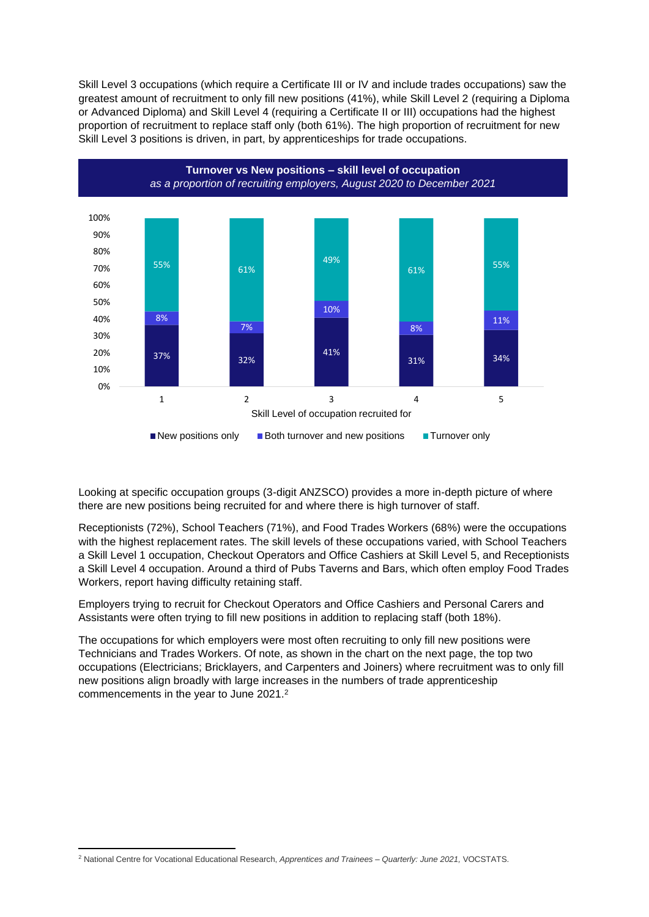Skill Level 3 occupations (which require a Certificate III or IV and include trades occupations) saw the greatest amount of recruitment to only fill new positions (41%), while Skill Level 2 (requiring a Diploma or Advanced Diploma) and Skill Level 4 (requiring a Certificate II or III) occupations had the highest proportion of recruitment to replace staff only (both 61%). The high proportion of recruitment for new Skill Level 3 positions is driven, in part, by apprenticeships for trade occupations.



Looking at specific occupation groups (3-digit ANZSCO) provides a more in-depth picture of where there are new positions being recruited for and where there is high turnover of staff.

Receptionists (72%), School Teachers (71%), and Food Trades Workers (68%) were the occupations with the highest replacement rates. The skill levels of these occupations varied, with School Teachers a Skill Level 1 occupation, Checkout Operators and Office Cashiers at Skill Level 5, and Receptionists a Skill Level 4 occupation. Around a third of Pubs Taverns and Bars, which often employ Food Trades Workers, report having difficulty retaining staff.

Employers trying to recruit for Checkout Operators and Office Cashiers and Personal Carers and Assistants were often trying to fill new positions in addition to replacing staff (both 18%).

The occupations for which employers were most often recruiting to only fill new positions were Technicians and Trades Workers. Of note, as shown in the chart on the next page, the top two occupations (Electricians; Bricklayers, and Carpenters and Joiners) where recruitment was to only fill new positions align broadly with large increases in the numbers of trade apprenticeship commencements in the year to June 2021. 2

<sup>2</sup> National Centre for Vocational Educational Research, *Apprentices and Trainees – Quarterly: June 2021,* VOCSTATS.